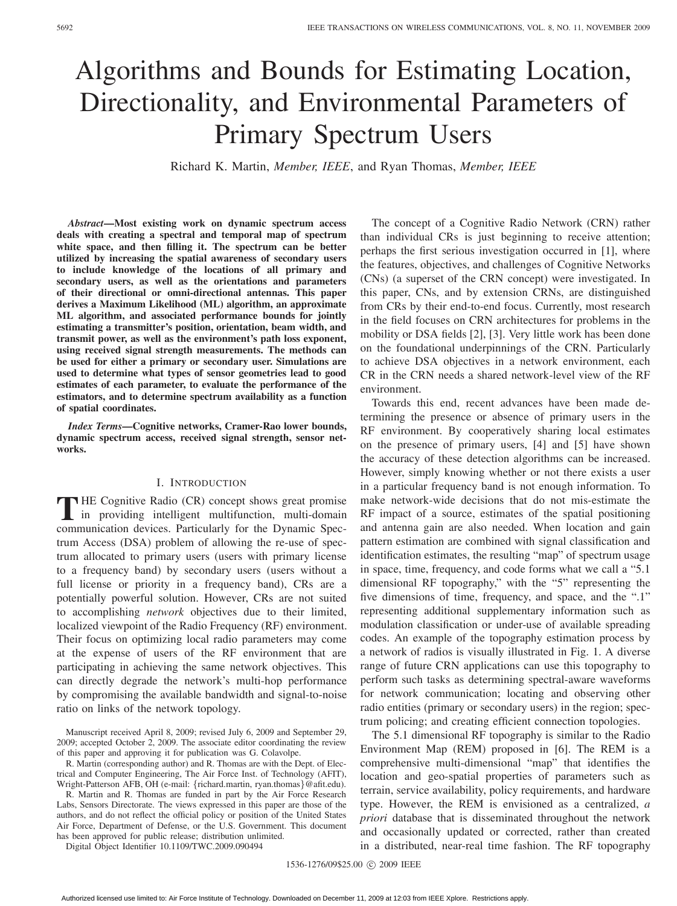# Algorithms and Bounds for Estimating Location, Directionality, and Environmental Parameters of Primary Spectrum Users

Richard K. Martin, *Member, IEEE*, and Ryan Thomas, *Member, IEEE*

*Abstract***—Most existing work on dynamic spectrum access deals with creating a spectral and temporal map of spectrum white space, and then filling it. The spectrum can be better utilized by increasing the spatial awareness of secondary users to include knowledge of the locations of all primary and secondary users, as well as the orientations and parameters of their directional or omni-directional antennas. This paper derives a Maximum Likelihood (ML) algorithm, an approximate ML algorithm, and associated performance bounds for jointly estimating a transmitter's position, orientation, beam width, and transmit power, as well as the environment's path loss exponent, using received signal strength measurements. The methods can be used for either a primary or secondary user. Simulations are used to determine what types of sensor geometries lead to good estimates of each parameter, to evaluate the performance of the estimators, and to determine spectrum availability as a function of spatial coordinates.**

*Index Terms***—Cognitive networks, Cramer-Rao lower bounds, dynamic spectrum access, received signal strength, sensor networks.**

## I. INTRODUCTION

**T** HE Cognitive Radio (CR) concept shows great promise in providing intelligent multifunction, multi-domain communication devices. Particularly for the Dynamic Spectrum Access (DSA) problem of allowing the re-use of spectrum allocated to primary users (users with primary license to a frequency band) by secondary users (users without a full license or priority in a frequency band), CRs are a potentially powerful solution. However, CRs are not suited to accomplishing *network* objectives due to their limited, localized viewpoint of the Radio Frequency (RF) environment. Their focus on optimizing local radio parameters may come at the expense of users of the RF environment that are participating in achieving the same network objectives. This can directly degrade the network's multi-hop performance by compromising the available bandwidth and signal-to-noise ratio on links of the network topology.

R. Martin (corresponding author) and R. Thomas are with the Dept. of Electrical and Computer Engineering, The Air Force Inst. of Technology (AFIT), Wright-Patterson AFB, OH (e-mail: {richard.martin, ryan.thomas}@afit.edu).

R. Martin and R. Thomas are funded in part by the Air Force Research Labs, Sensors Directorate. The views expressed in this paper are those of the authors, and do not reflect the official policy or position of the United States Air Force, Department of Defense, or the U.S. Government. This document has been approved for public release; distribution unlimited.

Digital Object Identifier 10.1109/TWC.2009.090494

The concept of a Cognitive Radio Network (CRN) rather than individual CRs is just beginning to receive attention; perhaps the first serious investigation occurred in [1], where the features, objectives, and challenges of Cognitive Networks (CNs) (a superset of the CRN concept) were investigated. In this paper, CNs, and by extension CRNs, are distinguished from CRs by their end-to-end focus. Currently, most research in the field focuses on CRN architectures for problems in the mobility or DSA fields [2], [3]. Very little work has been done on the foundational underpinnings of the CRN. Particularly to achieve DSA objectives in a network environment, each CR in the CRN needs a shared network-level view of the RF environment.

Towards this end, recent advances have been made determining the presence or absence of primary users in the RF environment. By cooperatively sharing local estimates on the presence of primary users, [4] and [5] have shown the accuracy of these detection algorithms can be increased. However, simply knowing whether or not there exists a user in a particular frequency band is not enough information. To make network-wide decisions that do not mis-estimate the RF impact of a source, estimates of the spatial positioning and antenna gain are also needed. When location and gain pattern estimation are combined with signal classification and identification estimates, the resulting "map" of spectrum usage in space, time, frequency, and code forms what we call a "5.1 dimensional RF topography," with the "5" representing the five dimensions of time, frequency, and space, and the ".1" representing additional supplementary information such as modulation classification or under-use of available spreading codes. An example of the topography estimation process by a network of radios is visually illustrated in Fig. 1. A diverse range of future CRN applications can use this topography to perform such tasks as determining spectral-aware waveforms for network communication; locating and observing other radio entities (primary or secondary users) in the region; spectrum policing; and creating efficient connection topologies.

The 5.1 dimensional RF topography is similar to the Radio Environment Map (REM) proposed in [6]. The REM is a comprehensive multi-dimensional "map" that identifies the location and geo-spatial properties of parameters such as terrain, service availability, policy requirements, and hardware type. However, the REM is envisioned as a centralized, *a priori* database that is disseminated throughout the network and occasionally updated or corrected, rather than created in a distributed, near-real time fashion. The RF topography

1536-1276/09\$25.00 © 2009 IEEE

Manuscript received April 8, 2009; revised July 6, 2009 and September 29, 2009; accepted October 2, 2009. The associate editor coordinating the review of this paper and approving it for publication was G. Colavolpe.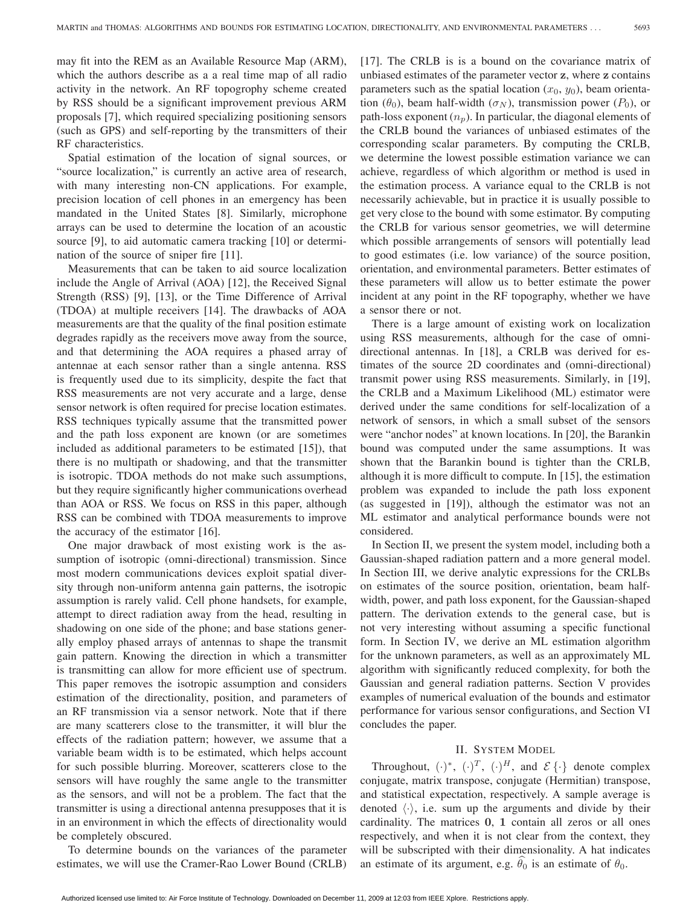may fit into the REM as an Available Resource Map (ARM), which the authors describe as a a real time map of all radio activity in the network. An RF topogrophy scheme created by RSS should be a significant improvement previous ARM proposals [7], which required specializing positioning sensors (such as GPS) and self-reporting by the transmitters of their RF characteristics.

Spatial estimation of the location of signal sources, or "source localization," is currently an active area of research, with many interesting non-CN applications. For example, precision location of cell phones in an emergency has been mandated in the United States [8]. Similarly, microphone arrays can be used to determine the location of an acoustic source [9], to aid automatic camera tracking [10] or determination of the source of sniper fire [11].

Measurements that can be taken to aid source localization include the Angle of Arrival (AOA) [12], the Received Signal Strength (RSS) [9], [13], or the Time Difference of Arrival (TDOA) at multiple receivers [14]. The drawbacks of AOA measurements are that the quality of the final position estimate degrades rapidly as the receivers move away from the source, and that determining the AOA requires a phased array of antennae at each sensor rather than a single antenna. RSS is frequently used due to its simplicity, despite the fact that RSS measurements are not very accurate and a large, dense sensor network is often required for precise location estimates. RSS techniques typically assume that the transmitted power and the path loss exponent are known (or are sometimes included as additional parameters to be estimated [15]), that there is no multipath or shadowing, and that the transmitter is isotropic. TDOA methods do not make such assumptions, but they require significantly higher communications overhead than AOA or RSS. We focus on RSS in this paper, although RSS can be combined with TDOA measurements to improve the accuracy of the estimator [16].

One major drawback of most existing work is the assumption of isotropic (omni-directional) transmission. Since most modern communications devices exploit spatial diversity through non-uniform antenna gain patterns, the isotropic assumption is rarely valid. Cell phone handsets, for example, attempt to direct radiation away from the head, resulting in shadowing on one side of the phone; and base stations generally employ phased arrays of antennas to shape the transmit gain pattern. Knowing the direction in which a transmitter is transmitting can allow for more efficient use of spectrum. This paper removes the isotropic assumption and considers estimation of the directionality, position, and parameters of an RF transmission via a sensor network. Note that if there are many scatterers close to the transmitter, it will blur the effects of the radiation pattern; however, we assume that a variable beam width is to be estimated, which helps account for such possible blurring. Moreover, scatterers close to the sensors will have roughly the same angle to the transmitter as the sensors, and will not be a problem. The fact that the transmitter is using a directional antenna presupposes that it is in an environment in which the effects of directionality would be completely obscured.

To determine bounds on the variances of the parameter estimates, we will use the Cramer-Rao Lower Bound (CRLB) [17]. The CRLB is is a bound on the covariance matrix of unbiased estimates of the parameter vector **z**, where **z** contains parameters such as the spatial location  $(x_0, y_0)$ , beam orientation ( $\theta_0$ ), beam half-width ( $\sigma_N$ ), transmission power ( $P_0$ ), or path-loss exponent  $(n_n)$ . In particular, the diagonal elements of the CRLB bound the variances of unbiased estimates of the corresponding scalar parameters. By computing the CRLB, we determine the lowest possible estimation variance we can achieve, regardless of which algorithm or method is used in the estimation process. A variance equal to the CRLB is not necessarily achievable, but in practice it is usually possible to get very close to the bound with some estimator. By computing the CRLB for various sensor geometries, we will determine which possible arrangements of sensors will potentially lead to good estimates (i.e. low variance) of the source position, orientation, and environmental parameters. Better estimates of these parameters will allow us to better estimate the power incident at any point in the RF topography, whether we have a sensor there or not.

There is a large amount of existing work on localization using RSS measurements, although for the case of omnidirectional antennas. In [18], a CRLB was derived for estimates of the source 2D coordinates and (omni-directional) transmit power using RSS measurements. Similarly, in [19], the CRLB and a Maximum Likelihood (ML) estimator were derived under the same conditions for self-localization of a network of sensors, in which a small subset of the sensors were "anchor nodes" at known locations. In [20], the Barankin bound was computed under the same assumptions. It was shown that the Barankin bound is tighter than the CRLB, although it is more difficult to compute. In [15], the estimation problem was expanded to include the path loss exponent (as suggested in [19]), although the estimator was not an ML estimator and analytical performance bounds were not considered.

In Section II, we present the system model, including both a Gaussian-shaped radiation pattern and a more general model. In Section III, we derive analytic expressions for the CRLBs on estimates of the source position, orientation, beam halfwidth, power, and path loss exponent, for the Gaussian-shaped pattern. The derivation extends to the general case, but is not very interesting without assuming a specific functional form. In Section IV, we derive an ML estimation algorithm for the unknown parameters, as well as an approximately ML algorithm with significantly reduced complexity, for both the Gaussian and general radiation patterns. Section V provides examples of numerical evaluation of the bounds and estimator performance for various sensor configurations, and Section VI concludes the paper.

# II. SYSTEM MODEL

Throughout,  $(\cdot)^{*}$ ,  $(\cdot)^{T}$ ,  $(\cdot)^{H}$ , and  $\mathcal{E}\{\cdot\}$  denote complex conjugate, matrix transpose, conjugate (Hermitian) transpose, and statistical expectation, respectively. A sample average is denoted  $\langle \cdot \rangle$ , i.e. sum up the arguments and divide by their cardinality. The matrices **0**, **1** contain all zeros or all ones respectively, and when it is not clear from the context, they will be subscripted with their dimensionality. A hat indicates an estimate of its argument, e.g.  $\theta_0$  is an estimate of  $\theta_0$ .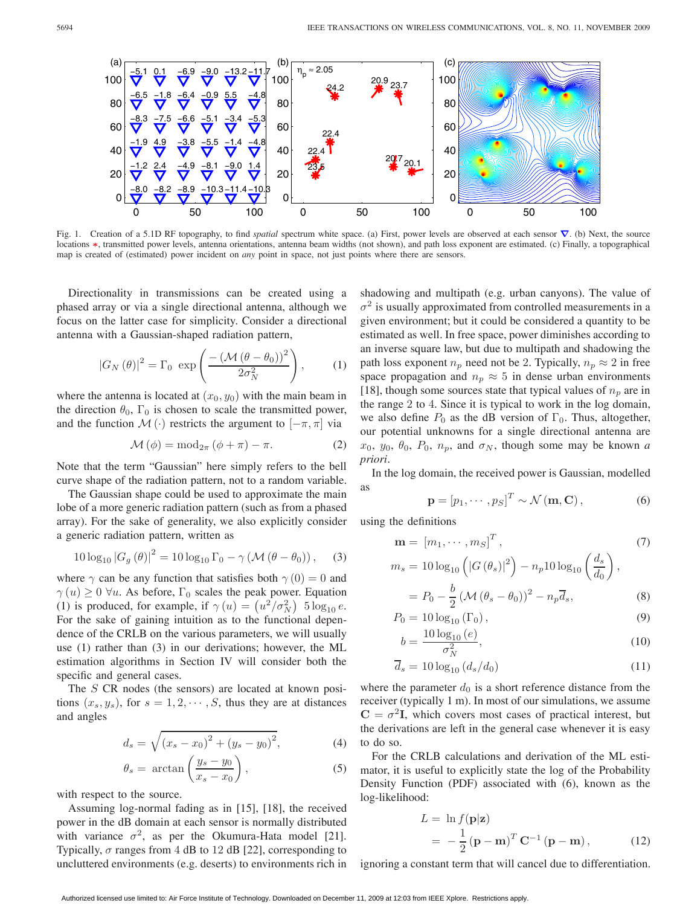

Fig. 1. Creation of a 5.1D RF topography, to find *spatial* spectrum white space. (a) First, power levels are observed at each sensor *∇*. (b) Next, the source locations *∗*, transmitted power levels, antenna orientations, antenna beam widths (not shown), and path loss exponent are estimated. (c) Finally, a topographical map is created of (estimated) power incident on *any* point in space, not just points where there are sensors.

Directionality in transmissions can be created using a phased array or via a single directional antenna, although we focus on the latter case for simplicity. Consider a directional antenna with a Gaussian-shaped radiation pattern,

$$
\left|G_N(\theta)\right|^2 = \Gamma_0 \exp\left(\frac{-\left(\mathcal{M}\left(\theta - \theta_0\right)\right)^2}{2\sigma_N^2}\right),\qquad(1)
$$

where the antenna is located at  $(x_0, y_0)$  with the main beam in the direction  $\theta_0$ ,  $\Gamma_0$  is chosen to scale the transmitted power, and the function  $M(\cdot)$  restricts the argument to  $[-\pi, \pi]$  via

$$
\mathcal{M}\left(\phi\right) = \text{mod}_{2\pi}\left(\phi + \pi\right) - \pi.
$$
 (2)

Note that the term "Gaussian" here simply refers to the bell curve shape of the radiation pattern, not to a random variable.

The Gaussian shape could be used to approximate the main lobe of a more generic radiation pattern (such as from a phased array). For the sake of generality, we also explicitly consider a generic radiation pattern, written as

$$
10\log_{10}|G_g(\theta)|^2 = 10\log_{10}\Gamma_0 - \gamma\left(\mathcal{M}(\theta - \theta_0)\right),\tag{3}
$$

where  $\gamma$  can be any function that satisfies both  $\gamma(0) = 0$  and  $\gamma(u) \geq 0$   $\forall u$ . As before,  $\Gamma_0$  scales the peak power. Equation (1) is produced, for example, if  $\gamma(u) = (u^2/\sigma_N^2)$  5  $\log_{10} e$ . For the sake of gaining intuition as to the functional dependence of the CRLB on the various parameters, we will usually use (1) rather than (3) in our derivations; however, the ML estimation algorithms in Section IV will consider both the specific and general cases.

The  $S$  CR nodes (the sensors) are located at known positions  $(x_s, y_s)$ , for  $s = 1, 2, \dots, S$ , thus they are at distances and angles

$$
d_s = \sqrt{(x_s - x_0)^2 + (y_s - y_0)^2},
$$
\n(4)

$$
\theta_s = \arctan\left(\frac{y_s - y_0}{x_s - x_0}\right),\tag{5}
$$

with respect to the source.

Assuming log-normal fading as in [15], [18], the received power in the dB domain at each sensor is normally distributed with variance  $\sigma^2$ , as per the Okumura-Hata model [21]. Typically,  $\sigma$  ranges from 4 dB to 12 dB [22], corresponding to uncluttered environments (e.g. deserts) to environments rich in shadowing and multipath (e.g. urban canyons). The value of  $\sigma^2$  is usually approximated from controlled measurements in a given environment; but it could be considered a quantity to be estimated as well. In free space, power diminishes according to an inverse square law, but due to multipath and shadowing the path loss exponent  $n_p$  need not be 2. Typically,  $n_p \approx 2$  in free space propagation and  $n_p \approx 5$  in dense urban environments [18], though some sources state that typical values of  $n_p$  are in the range 2 to 4. Since it is typical to work in the log domain, we also define  $P_0$  as the dB version of  $\Gamma_0$ . Thus, altogether, our potential unknowns for a single directional antenna are  $x_0$ ,  $y_0$ ,  $\theta_0$ ,  $P_0$ ,  $n_p$ , and  $\sigma_N$ , though some may be known *a priori*.

In the log domain, the received power is Gaussian, modelled as

$$
\mathbf{p} = [p_1, \cdots, p_S]^T \sim \mathcal{N}(\mathbf{m}, \mathbf{C}), \tag{6}
$$

using the definitions

$$
\mathbf{m} = [m_1, \cdots, m_S]^T, \tag{7}
$$
\n
$$
m_s = 10 \log_{10} \left( |G(\theta_s)|^2 \right) - n_p 10 \log_{10} \left( \frac{d_s}{d_0} \right),
$$
\n
$$
= P_0 - \frac{b}{2} \left( \mathcal{M} (\theta_s - \theta_0) \right)^2 - n_p \overline{d}_s, \tag{8}
$$

$$
P_0 = 10 \log_{10} (\Gamma_0), \tag{9}
$$

$$
b = \frac{10 \log_{10} (e)}{\sigma_N^2},\tag{10}
$$

$$
\overline{d}_s = 10 \log_{10} \left( d_s / d_0 \right) \tag{11}
$$

where the parameter  $d_0$  is a short reference distance from the receiver (typically 1 m). In most of our simulations, we assume  $C = \sigma^2 I$ , which covers most cases of practical interest, but the derivations are left in the general case whenever it is easy to do so.

For the CRLB calculations and derivation of the ML estimator, it is useful to explicitly state the log of the Probability Density Function (PDF) associated with (6), known as the log-likelihood:

$$
L = \ln f(\mathbf{p}|\mathbf{z})
$$
  
=  $-\frac{1}{2}(\mathbf{p} - \mathbf{m})^T \mathbf{C}^{-1} (\mathbf{p} - \mathbf{m}),$  (12)

ignoring a constant term that will cancel due to differentiation.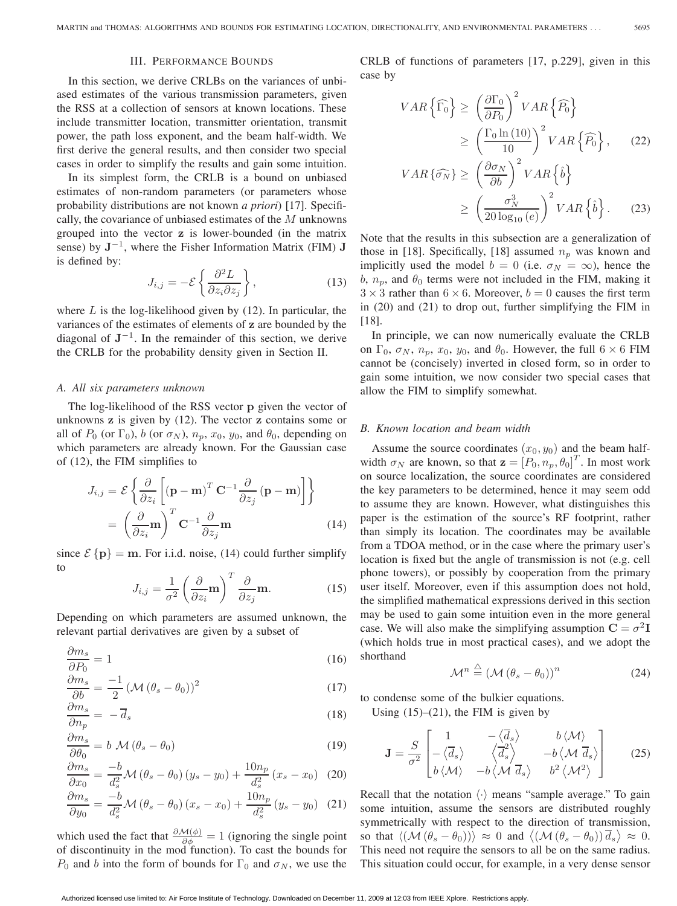## III. PERFORMANCE BOUNDS

In this section, we derive CRLBs on the variances of unbiased estimates of the various transmission parameters, given the RSS at a collection of sensors at known locations. These include transmitter location, transmitter orientation, transmit power, the path loss exponent, and the beam half-width. We first derive the general results, and then consider two special cases in order to simplify the results and gain some intuition.

In its simplest form, the CRLB is a bound on unbiased estimates of non-random parameters (or parameters whose probability distributions are not known *a priori*) [17]. Specifically, the covariance of unbiased estimates of the  $M$  unknowns grouped into the vector **z** is lower-bounded (in the matrix sense) by  $J^{-1}$ , where the Fisher Information Matrix (FIM)  $J$ is defined by:

$$
J_{i,j} = -\mathcal{E}\left\{\frac{\partial^2 L}{\partial z_i \partial z_j}\right\},\tag{13}
$$

where  $L$  is the log-likelihood given by (12). In particular, the variances of the estimates of elements of **z** are bounded by the diagonal of  $J^{-1}$ . In the remainder of this section, we derive the CRLB for the probability density given in Section II.

#### *A. All six parameters unknown*

The log-likelihood of the RSS vector **p** given the vector of unknowns **z** is given by (12). The vector **z** contains some or all of  $P_0$  (or  $\Gamma_0$ ), b (or  $\sigma_N$ ),  $n_p$ ,  $x_0$ ,  $y_0$ , and  $\theta_0$ , depending on which parameters are already known. For the Gaussian case of (12), the FIM simplifies to

$$
J_{i,j} = \mathcal{E} \left\{ \frac{\partial}{\partial z_i} \left[ (\mathbf{p} - \mathbf{m})^T \mathbf{C}^{-1} \frac{\partial}{\partial z_j} (\mathbf{p} - \mathbf{m}) \right] \right\}
$$
  
=  $\left( \frac{\partial}{\partial z_i} \mathbf{m} \right)^T \mathbf{C}^{-1} \frac{\partial}{\partial z_j} \mathbf{m}$  (14)

since  $\mathcal{E}\{\mathbf{p}\} = \mathbf{m}$ . For i.i.d. noise, (14) could further simplify to

$$
J_{i,j} = \frac{1}{\sigma^2} \left( \frac{\partial}{\partial z_i} \mathbf{m} \right)^T \frac{\partial}{\partial z_j} \mathbf{m}.
$$
 (15)

Depending on which parameters are assumed unknown, the relevant partial derivatives are given by a subset of

$$
\frac{\partial m_s}{\partial P_0} = 1\tag{16}
$$

$$
\frac{\partial m_s}{\partial b} = \frac{-1}{2} \left( \mathcal{M} \left( \theta_s - \theta_0 \right) \right)^2 \tag{17}
$$

$$
\frac{\partial m_s}{\partial n_p} = -\overline{d}_s \tag{18}
$$

$$
\frac{\partial m_s}{\partial \theta_0} = b \mathcal{M} (\theta_s - \theta_0)
$$
 (19)

$$
\frac{\partial m_s}{\partial x_0} = \frac{-b}{d_s^2} \mathcal{M}\left(\theta_s - \theta_0\right)(y_s - y_0) + \frac{10n_p}{d_s^2}(x_s - x_0) \tag{20}
$$

$$
\frac{\partial m_s}{\partial y_0} = \frac{-b}{d_s^2} \mathcal{M}\left(\theta_s - \theta_0\right) \left(x_s - x_0\right) + \frac{10n_p}{d_s^2} \left(y_s - y_0\right) \tag{21}
$$

which used the fact that  $\frac{\partial \mathcal{M}(\phi)}{\partial \phi} = 1$  (ignoring the single point of discontinuity in the mod function). To cast the bounds for  $P_0$  and b into the form of bounds for  $\Gamma_0$  and  $\sigma_N$ , we use the CRLB of functions of parameters [17, p.229], given in this case by

$$
VAR\left\{\widehat{\Gamma_{0}}\right\} \geq \left(\frac{\partial \Gamma_{0}}{\partial P_{0}}\right)^{2} VAR\left\{\widehat{P_{0}}\right\}
$$

$$
\geq \left(\frac{\Gamma_{0} \ln(10)}{10}\right)^{2} VAR\left\{\widehat{P_{0}}\right\}, \qquad (22)
$$

$$
VAR\left\{\widehat{\sigma_{N}}\right\} \geq \left(\frac{\partial \sigma_{N}}{\partial b}\right)^{2} VAR\left\{\widehat{b}\right\}
$$

$$
\geq \left(\frac{\sigma_{N}^{3}}{20 \log_{10}(e)}\right)^{2} VAR\left\{\widehat{b}\right\}. \qquad (23)
$$

Note that the results in this subsection are a generalization of those in [18]. Specifically, [18] assumed  $n_p$  was known and implicitly used the model  $b = 0$  (i.e.  $\sigma_N = \infty$ ), hence the b,  $n_p$ , and  $\theta_0$  terms were not included in the FIM, making it  $3 \times 3$  rather than  $6 \times 6$ . Moreover,  $b = 0$  causes the first term in (20) and (21) to drop out, further simplifying the FIM in [18].

In principle, we can now numerically evaluate the CRLB on  $\Gamma_0$ ,  $\sigma_N$ ,  $n_p$ ,  $x_0$ ,  $y_0$ , and  $\theta_0$ . However, the full  $6 \times 6$  FIM cannot be (concisely) inverted in closed form, so in order to gain some intuition, we now consider two special cases that allow the FIM to simplify somewhat.

#### *B. Known location and beam width*

Assume the source coordinates  $(x_0, y_0)$  and the beam halfwidth  $\sigma_N$  are known, so that  $\mathbf{z} = [P_0, n_p, \theta_0]^T$ . In most work on source localization, the source coordinates are considered the key parameters to be determined, hence it may seem odd to assume they are known. However, what distinguishes this paper is the estimation of the source's RF footprint, rather than simply its location. The coordinates may be available from a TDOA method, or in the case where the primary user's location is fixed but the angle of transmission is not (e.g. cell phone towers), or possibly by cooperation from the primary user itself. Moreover, even if this assumption does not hold, the simplified mathematical expressions derived in this section may be used to gain some intuition even in the more general case. We will also make the simplifying assumption  $C = \sigma^2 I$ (which holds true in most practical cases), and we adopt the shorthand

$$
\mathcal{M}^n \stackrel{\triangle}{=} (\mathcal{M} (\theta_s - \theta_0))^n \tag{24}
$$

to condense some of the bulkier equations. Using  $(15)$ – $(21)$ , the FIM is given by

$$
\mathbf{J} = \frac{S}{\sigma^2} \begin{bmatrix} 1 & -\langle \overline{d}_s \rangle & b \langle \mathcal{M} \rangle \\ -\langle \overline{d}_s \rangle & \langle \overline{d}_s^2 \rangle & -b \langle \mathcal{M} \overline{d}_s \rangle \\ b \langle \mathcal{M} \rangle & -b \langle \mathcal{M} \overline{d}_s \rangle & b^2 \langle \mathcal{M}^2 \rangle \end{bmatrix}
$$
(25)

Recall that the notation  $\langle \cdot \rangle$  means "sample average." To gain some intuition, assume the sensors are distributed roughly symmetrically with respect to the direction of transmission, so that  $\langle (\mathcal{M}(\theta_s - \theta_0)) \rangle \approx 0$  and  $\langle (\mathcal{M}(\theta_s - \theta_0)) \overline{d}_s \rangle \approx 0$ . This need not require the sensors to all be on the same radius. This situation could occur, for example, in a very dense sensor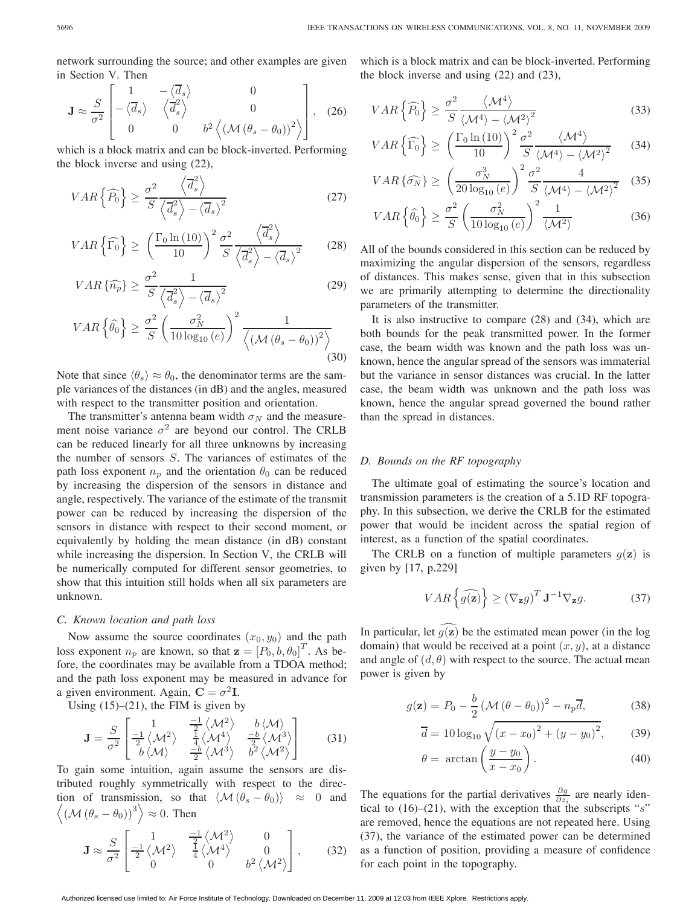network surrounding the source; and other examples are given in Section V. Then

$$
\mathbf{J} \approx \frac{S}{\sigma^2} \begin{bmatrix} 1 & -\langle \overline{d}_s \rangle & 0 \\ -\langle \overline{d}_s \rangle & \langle \overline{d}_s^2 \rangle & 0 \\ 0 & 0 & b^2 \langle (\mathcal{M} (\theta_s - \theta_0))^2 \rangle \end{bmatrix}, \quad (26)
$$

which is a block matrix and can be block-inverted. Performing the block inverse and using (22),

$$
VAR\left\{\widehat{P_0}\right\} \ge \frac{\sigma^2}{S} \frac{\left\langle \overline{d}_s^2 \right\rangle}{\left\langle \overline{d}_s^2 \right\rangle - \left\langle \overline{d}_s \right\rangle^2} \tag{27}
$$

$$
VAR\left\{\widehat{\Gamma_{0}}\right\} \geq \left(\frac{\Gamma_{0} \ln\left(10\right)}{10}\right)^{2} \frac{\sigma^{2}}{S} \frac{\left\langle\overline{d}_{s}^{2}\right\rangle}{\left\langle\overline{d}_{s}^{2}\right\rangle - \left\langle\overline{d}_{s}\right\rangle^{2}} \qquad (28)
$$

$$
VAR\{\widehat{n_p}\} \ge \frac{\sigma^2}{S} \frac{1}{\left\langle \overline{d}_s^2 \right\rangle - \left\langle \overline{d}_s \right\rangle^2}
$$
 (29)

$$
VAR\left\{\widehat{\theta}_{0}\right\} \ge \frac{\sigma^2}{S} \left(\frac{\sigma_N^2}{10 \log_{10}(e)}\right)^2 \frac{1}{\left\langle \left(\mathcal{M}\left(\theta_s - \theta_0\right)\right)^2 \right\rangle}
$$
\n(30)

Note that since  $\langle \theta_s \rangle \approx \theta_0$ , the denominator terms are the sample variances of the distances (in dB) and the angles, measured with respect to the transmitter position and orientation.

The transmitter's antenna beam width  $\sigma_N$  and the measurement noise variance  $\sigma^2$  are beyond our control. The CRLB can be reduced linearly for all three unknowns by increasing the number of sensors  $S$ . The variances of estimates of the path loss exponent  $n_p$  and the orientation  $\theta_0$  can be reduced by increasing the dispersion of the sensors in distance and angle, respectively. The variance of the estimate of the transmit power can be reduced by increasing the dispersion of the sensors in distance with respect to their second moment, or equivalently by holding the mean distance (in dB) constant while increasing the dispersion. In Section V, the CRLB will be numerically computed for different sensor geometries, to show that this intuition still holds when all six parameters are unknown.

## *C. Known location and path loss*

Now assume the source coordinates  $(x_0, y_0)$  and the path loss exponent  $n_p$  are known, so that  $\mathbf{z} = [P_0, b, \theta_0]^T$ . As before, the coordinates may be available from a TDOA method; and the path loss exponent may be measured in advance for a given environment. Again,  $C = \sigma^2 I$ .

Using  $(15)$ – $(21)$ , the FIM is given by

$$
\mathbf{J} = \frac{S}{\sigma^2} \begin{bmatrix} 1 & \frac{-1}{2} \langle \mathcal{M}^2 \rangle & b \langle \mathcal{M} \rangle \\ \frac{-1}{2} \langle \mathcal{M}^2 \rangle & \frac{1}{4} \langle \mathcal{M}^4 \rangle & \frac{-b}{2} \langle \mathcal{M}^3 \rangle \\ b \langle \mathcal{M} \rangle & \frac{-b}{2} \langle \mathcal{M}^3 \rangle & b^2 \langle \mathcal{M}^2 \rangle \end{bmatrix} \tag{31}
$$

To gain some intuition, again assume the sensors are distributed roughly symmetrically with respect to the direc-  $\langle (\mathcal{M} (\theta_s - \theta_0))^3 \rangle \approx 0$ . Then tion of transmission, so that  $\langle M(\theta_{s} - \theta_{0})\rangle \approx 0$  and

$$
\mathbf{J} \approx \frac{S}{\sigma^2} \begin{bmatrix} 1 & \frac{-1}{2} \langle \mathcal{M}^2 \rangle & 0\\ \frac{-1}{2} \langle \mathcal{M}^2 \rangle & \frac{1}{4} \langle \mathcal{M}^4 \rangle & 0\\ 0 & 0 & b^2 \langle \mathcal{M}^2 \rangle \end{bmatrix},\tag{32}
$$

which is a block matrix and can be block-inverted. Performing the block inverse and using (22) and (23),

$$
VAR\left\{\widehat{P}_0\right\} \ge \frac{\sigma^2}{S} \frac{\left\langle \mathcal{M}^4 \right\rangle}{\left\langle \mathcal{M}^4 \right\rangle - \left\langle \mathcal{M}^2 \right\rangle^2}
$$
(33)

$$
VAR\left\{\widehat{\Gamma_0}\right\} \ge \left(\frac{\Gamma_0 \ln{(10)}}{10}\right)^2 \frac{\sigma^2}{S} \frac{\langle \mathcal{M}^4 \rangle}{\langle \mathcal{M}^4 \rangle - \langle \mathcal{M}^2 \rangle^2} \tag{34}
$$

$$
VAR\{\widehat{\sigma_N}\} \ge \left(\frac{\sigma_N^3}{20 \log_{10}(e)}\right)^2 \frac{\sigma^2}{S} \frac{4}{\langle \mathcal{M}^4 \rangle - \langle \mathcal{M}^2 \rangle^2} \quad (35)
$$

$$
VAR\left\{\widehat{\theta_0}\right\} \ge \frac{\sigma^2}{S} \left(\frac{\sigma_N^2}{10 \log_{10}(e)}\right)^2 \frac{1}{\langle \mathcal{M}^2 \rangle} \tag{36}
$$

All of the bounds considered in this section can be reduced by maximizing the angular dispersion of the sensors, regardless of distances. This makes sense, given that in this subsection we are primarily attempting to determine the directionality parameters of the transmitter.

It is also instructive to compare (28) and (34), which are both bounds for the peak transmitted power. In the former case, the beam width was known and the path loss was unknown, hence the angular spread of the sensors was immaterial but the variance in sensor distances was crucial. In the latter case, the beam width was unknown and the path loss was known, hence the angular spread governed the bound rather than the spread in distances.

#### *D. Bounds on the RF topography*

The ultimate goal of estimating the source's location and transmission parameters is the creation of a 5.1D RF topography. In this subsection, we derive the CRLB for the estimated power that would be incident across the spatial region of interest, as a function of the spatial coordinates.

The CRLB on a function of multiple parameters  $g(\mathbf{z})$  is given by [17, p.229]

$$
VAR\left\{\widehat{g(\mathbf{z})}\right\} \geq \left(\nabla_{\mathbf{z}}g\right)^{T} \mathbf{J}^{-1} \nabla_{\mathbf{z}}g. \tag{37}
$$

In particular, let  $g(\mathbf{z})$  be the estimated mean power (in the log domain) that would be received at a point  $(x, y)$ , at a distance and angle of  $(d, \theta)$  with respect to the source. The actual mean power is given by

$$
g(\mathbf{z}) = P_0 - \frac{b}{2} \left( \mathcal{M} \left( \theta - \theta_0 \right) \right)^2 - n_p \overline{d}, \tag{38}
$$

$$
\overline{d} = 10 \log_{10} \sqrt{(x - x_0)^2 + (y - y_0)^2},
$$
 (39)

$$
\theta = \arctan\left(\frac{y - y_0}{x - x_0}\right). \tag{40}
$$

The equations for the partial derivatives  $\frac{\partial g}{\partial z_i}$  are nearly identical to  $(16)$ – $(21)$ , with the exception that the subscripts "s" are removed, hence the equations are not repeated here. Using (37), the variance of the estimated power can be determined as a function of position, providing a measure of confidence for each point in the topography.

Authorized licensed use limited to: Air Force Institute of Technology. Downloaded on December 11, 2009 at 12:03 from IEEE Xplore. Restrictions apply.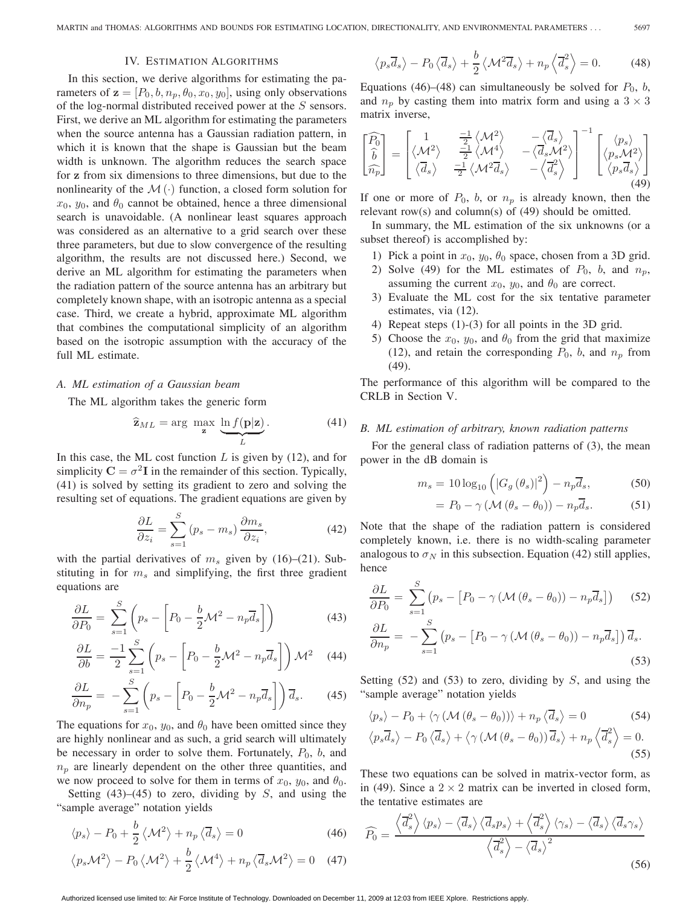## IV. ESTIMATION ALGORITHMS

In this section, we derive algorithms for estimating the parameters of  $\mathbf{z} = [P_0, b, n_p, \theta_0, x_0, y_0]$ , using only observations of the log-normal distributed received power at the  $S$  sensors. First, we derive an ML algorithm for estimating the parameters when the source antenna has a Gaussian radiation pattern, in which it is known that the shape is Gaussian but the beam width is unknown. The algorithm reduces the search space for **z** from six dimensions to three dimensions, but due to the nonlinearity of the  $M(\cdot)$  function, a closed form solution for  $x_0$ ,  $y_0$ , and  $\theta_0$  cannot be obtained, hence a three dimensional search is unavoidable. (A nonlinear least squares approach was considered as an alternative to a grid search over these three parameters, but due to slow convergence of the resulting algorithm, the results are not discussed here.) Second, we derive an ML algorithm for estimating the parameters when the radiation pattern of the source antenna has an arbitrary but completely known shape, with an isotropic antenna as a special case. Third, we create a hybrid, approximate ML algorithm that combines the computational simplicity of an algorithm based on the isotropic assumption with the accuracy of the full ML estimate.

## *A. ML estimation of a Gaussian beam*

The ML algorithm takes the generic form

$$
\widehat{\mathbf{z}}_{ML} = \arg \max_{\mathbf{z}} \underbrace{\ln f(\mathbf{p}|\mathbf{z})}_{L}.
$$
 (41)

In this case, the ML cost function  $L$  is given by (12), and for simplicity  $C = \sigma^2 I$  in the remainder of this section. Typically, (41) is solved by setting its gradient to zero and solving the resulting set of equations. The gradient equations are given by

$$
\frac{\partial L}{\partial z_i} = \sum_{s=1}^{S} (p_s - m_s) \frac{\partial m_s}{\partial z_i},\tag{42}
$$

with the partial derivatives of  $m_s$  given by (16)–(21). Substituting in for  $m_s$  and simplifying, the first three gradient equations are

$$
\frac{\partial L}{\partial P_0} = \sum_{s=1}^{S} \left( p_s - \left[ P_0 - \frac{b}{2} \mathcal{M}^2 - n_p \overline{d}_s \right] \right) \tag{43}
$$

$$
\frac{\partial L}{\partial b} = -\frac{1}{2} \sum_{s=1}^{S} \left( p_s - \left[ P_0 - \frac{b}{2} \mathcal{M}^2 - n_p \overline{d}_s \right] \right) \mathcal{M}^2 \quad (44)
$$

$$
\frac{\partial L}{\partial n_p} = -\sum_{s=1}^{S} \left( p_s - \left[ P_0 - \frac{b}{2} \mathcal{M}^2 - n_p \overline{d}_s \right] \right) \overline{d}_s. \tag{45}
$$

The equations for  $x_0$ ,  $y_0$ , and  $\theta_0$  have been omitted since they are highly nonlinear and as such, a grid search will ultimately be necessary in order to solve them. Fortunately,  $P_0$ ,  $b$ , and  $n_p$  are linearly dependent on the other three quantities, and we now proceed to solve for them in terms of  $x_0$ ,  $y_0$ , and  $\theta_0$ .

Setting  $(43)$ – $(45)$  to zero, dividing by S, and using the "sample average" notation yields

$$
\langle p_s \rangle - P_0 + \frac{b}{2} \langle \mathcal{M}^2 \rangle + n_p \langle \overline{d}_s \rangle = 0 \tag{46}
$$

$$
\langle p_s \mathcal{M}^2 \rangle - P_0 \langle \mathcal{M}^2 \rangle + \frac{b}{2} \langle \mathcal{M}^4 \rangle + n_p \langle \overline{d}_s \mathcal{M}^2 \rangle = 0 \quad (47)
$$

$$
\langle p_s \overline{d}_s \rangle - P_0 \langle \overline{d}_s \rangle + \frac{b}{2} \langle \mathcal{M}^2 \overline{d}_s \rangle + n_p \langle \overline{d}_s^2 \rangle = 0. \tag{48}
$$

Equations (46)–(48) can simultaneously be solved for  $P_0$ ,  $b$ , and  $n_p$  by casting them into matrix form and using a  $3 \times 3$ matrix inverse,

$$
\begin{bmatrix}\n\widehat{P_0} \\
\widehat{b} \\
\widehat{n_p}\n\end{bmatrix} = \begin{bmatrix}\n1 & \frac{-1}{2} \langle \mathcal{M}^2 \rangle & -\langle \overline{d}_s \rangle \\
\langle \mathcal{M}^2 \rangle & \frac{-1}{2} \langle \mathcal{M}^4 \rangle & -\langle \overline{d}_s \mathcal{M}^2 \rangle \\
\langle \overline{d}_s \rangle & \frac{-1}{2} \langle \mathcal{M}^2 \overline{d}_s \rangle & -\langle \overline{d}_s^2 \rangle\n\end{bmatrix}^{-1} \begin{bmatrix}\n\langle p_s \rangle \\
\langle p_s \mathcal{M}^2 \rangle \\
\langle p_s \overline{d}_s \rangle\n\end{bmatrix}
$$
\n(49)

If one or more of  $P_0$ , b, or  $n_p$  is already known, then the relevant row(s) and column(s) of (49) should be omitted.

In summary, the ML estimation of the six unknowns (or a subset thereof) is accomplished by:

- 1) Pick a point in  $x_0$ ,  $y_0$ ,  $\theta_0$  space, chosen from a 3D grid.
- 2) Solve (49) for the ML estimates of  $P_0$ , b, and  $n_p$ , assuming the current  $x_0$ ,  $y_0$ , and  $\theta_0$  are correct.
- 3) Evaluate the ML cost for the six tentative parameter estimates, via (12).
- 4) Repeat steps (1)-(3) for all points in the 3D grid.
- 5) Choose the  $x_0$ ,  $y_0$ , and  $\theta_0$  from the grid that maximize (12), and retain the corresponding  $P_0$ , b, and  $n_p$  from (49).

The performance of this algorithm will be compared to the CRLB in Section V.

## *B. ML estimation of arbitrary, known radiation patterns*

For the general class of radiation patterns of (3), the mean power in the dB domain is

$$
m_s = 10 \log_{10} \left( \left| G_g \left( \theta_s \right) \right|^2 \right) - n_p \overline{d}_s, \tag{50}
$$

$$
= P_0 - \gamma \left( \mathcal{M} \left( \theta_s - \theta_0 \right) \right) - n_p \overline{d}_s. \tag{51}
$$

Note that the shape of the radiation pattern is considered completely known, i.e. there is no width-scaling parameter analogous to  $\sigma_N$  in this subsection. Equation (42) still applies, hence

$$
\frac{\partial L}{\partial P_0} = \sum_{s=1}^{S} \left( p_s - \left[ P_0 - \gamma \left( \mathcal{M} \left( \theta_s - \theta_0 \right) \right) - n_p \overline{d}_s \right] \right) \quad (52)
$$

$$
\frac{\partial L}{\partial n_p} = - \sum_{s=1}^{S} \left( p_s - \left[ P_0 - \gamma \left( \mathcal{M} \left( \theta_s - \theta_0 \right) \right) - n_p \overline{d}_s \right] \right) \overline{d}_s.
$$

$$
(53)
$$

Setting  $(52)$  and  $(53)$  to zero, dividing by S, and using the "sample average" notation yields

 $s=1$ 

$$
\langle p_s \rangle - P_0 + \langle \gamma \left( \mathcal{M} \left( \theta_s - \theta_0 \right) \right) \rangle + n_p \langle \overline{d}_s \rangle = 0 \tag{54}
$$
  

$$
\langle p_s \overline{d}_s \rangle - P_0 \langle \overline{d}_s \rangle + \langle \gamma \left( \mathcal{M} \left( \theta_s - \theta_0 \right) \right) \overline{d}_s \rangle + n_p \langle \overline{d}_s^2 \rangle = 0.
$$
  

$$
\tag{55}
$$

These two equations can be solved in matrix-vector form, as in (49). Since a  $2 \times 2$  matrix can be inverted in closed form, the tentative estimates are

$$
\widehat{P_0} = \frac{\left\langle \overrightarrow{d_s} \right\rangle \left\langle p_s \right\rangle - \left\langle \overrightarrow{d_s} \right\rangle \left\langle \overrightarrow{d_s} p_s \right\rangle + \left\langle \overrightarrow{d_s} \right\rangle \left\langle \gamma_s \right\rangle - \left\langle \overrightarrow{d_s} \right\rangle \left\langle \overrightarrow{d_s} \gamma_s \right\rangle}{\left\langle \overrightarrow{d_s} \right\rangle - \left\langle \overrightarrow{d_s} \right\rangle^2} \tag{56}
$$

Authorized licensed use limited to: Air Force Institute of Technology. Downloaded on December 11, 2009 at 12:03 from IEEE Xplore. Restrictions apply.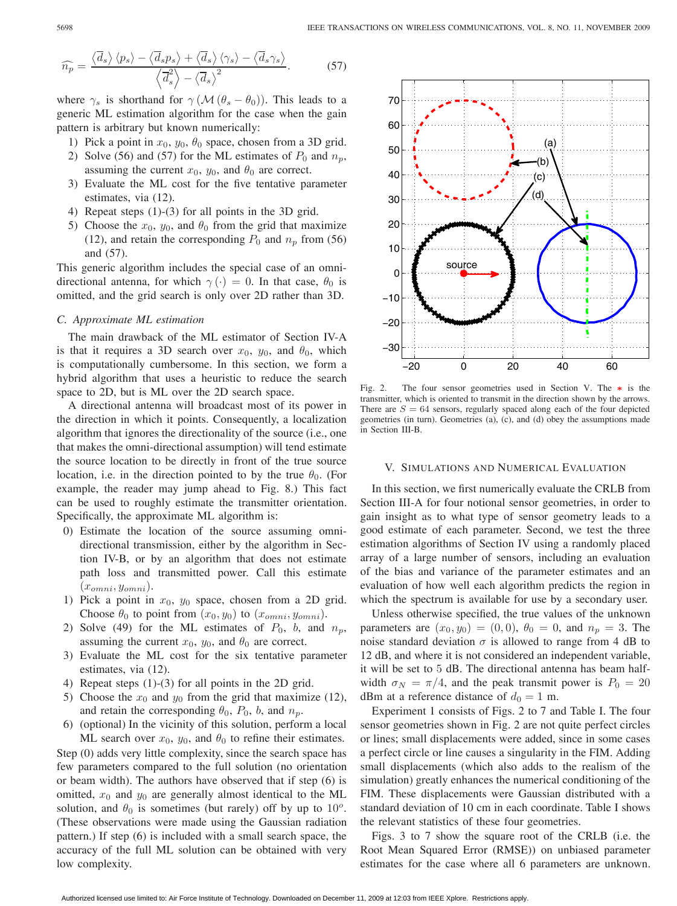$$
\widehat{n_p} = \frac{\langle \overline{d}_s \rangle \langle p_s \rangle - \langle \overline{d}_s p_s \rangle + \langle \overline{d}_s \rangle \langle \gamma_s \rangle - \langle \overline{d}_s \gamma_s \rangle}{\langle \overline{d}_s^2 \rangle - \langle \overline{d}_s \rangle^2}.
$$
 (57)

where  $\gamma_s$  is shorthand for  $\gamma (\mathcal{M} (\theta_s - \theta_0))$ . This leads to a generic ML estimation algorithm for the case when the gain pattern is arbitrary but known numerically:

- 1) Pick a point in  $x_0$ ,  $y_0$ ,  $\theta_0$  space, chosen from a 3D grid.
- 2) Solve (56) and (57) for the ML estimates of  $P_0$  and  $n_p$ , assuming the current  $x_0$ ,  $y_0$ , and  $\theta_0$  are correct.
- 3) Evaluate the ML cost for the five tentative parameter estimates, via (12).
- 4) Repeat steps (1)-(3) for all points in the 3D grid.
- 5) Choose the  $x_0$ ,  $y_0$ , and  $\theta_0$  from the grid that maximize (12), and retain the corresponding  $P_0$  and  $n_p$  from (56) and (57).

This generic algorithm includes the special case of an omnidirectional antenna, for which  $\gamma(\cdot)=0$ . In that case,  $\theta_0$  is omitted, and the grid search is only over 2D rather than 3D.

## *C. Approximate ML estimation*

The main drawback of the ML estimator of Section IV-A is that it requires a 3D search over  $x_0$ ,  $y_0$ , and  $\theta_0$ , which is computationally cumbersome. In this section, we form a hybrid algorithm that uses a heuristic to reduce the search space to 2D, but is ML over the 2D search space.

A directional antenna will broadcast most of its power in the direction in which it points. Consequently, a localization algorithm that ignores the directionality of the source (i.e., one that makes the omni-directional assumption) will tend estimate the source location to be directly in front of the true source location, i.e. in the direction pointed to by the true  $\theta_0$ . (For example, the reader may jump ahead to Fig. 8.) This fact can be used to roughly estimate the transmitter orientation. Specifically, the approximate ML algorithm is:

- 0) Estimate the location of the source assuming omnidirectional transmission, either by the algorithm in Section IV-B, or by an algorithm that does not estimate path loss and transmitted power. Call this estimate  $(x_{omni}, y_{omni}).$
- 1) Pick a point in  $x_0$ ,  $y_0$  space, chosen from a 2D grid. Choose  $\theta_0$  to point from  $(x_0, y_0)$  to  $(x_{omni}, y_{omni}).$
- 2) Solve (49) for the ML estimates of  $P_0$ , b, and  $n_p$ , assuming the current  $x_0$ ,  $y_0$ , and  $\theta_0$  are correct.
- 3) Evaluate the ML cost for the six tentative parameter estimates, via (12).
- 4) Repeat steps (1)-(3) for all points in the 2D grid.
- 5) Choose the  $x_0$  and  $y_0$  from the grid that maximize (12), and retain the corresponding  $\theta_0$ ,  $P_0$ ,  $b$ , and  $n_p$ .
- 6) (optional) In the vicinity of this solution, perform a local ML search over  $x_0$ ,  $y_0$ , and  $\theta_0$  to refine their estimates.

Step (0) adds very little complexity, since the search space has few parameters compared to the full solution (no orientation or beam width). The authors have observed that if step (6) is omitted,  $x_0$  and  $y_0$  are generally almost identical to the ML solution, and  $\theta_0$  is sometimes (but rarely) off by up to  $10^{\circ}$ . (These observations were made using the Gaussian radiation pattern.) If step (6) is included with a small search space, the accuracy of the full ML solution can be obtained with very low complexity.



Fig. 2. The four sensor geometries used in Section V. The *∗* is the transmitter, which is oriented to transmit in the direction shown by the arrows. There are  $S = 64$  sensors, regularly spaced along each of the four depicted geometries (in turn). Geometries (a), (c), and (d) obey the assumptions made in Section III-B.

#### V. SIMULATIONS AND NUMERICAL EVALUATION

In this section, we first numerically evaluate the CRLB from Section III-A for four notional sensor geometries, in order to gain insight as to what type of sensor geometry leads to a good estimate of each parameter. Second, we test the three estimation algorithms of Section IV using a randomly placed array of a large number of sensors, including an evaluation of the bias and variance of the parameter estimates and an evaluation of how well each algorithm predicts the region in which the spectrum is available for use by a secondary user.

Unless otherwise specified, the true values of the unknown parameters are  $(x_0, y_0) = (0, 0), \theta_0 = 0$ , and  $n_p = 3$ . The noise standard deviation  $\sigma$  is allowed to range from 4 dB to 12 dB, and where it is not considered an independent variable, it will be set to 5 dB. The directional antenna has beam halfwidth  $\sigma_N = \pi/4$ , and the peak transmit power is  $P_0 = 20$ dBm at a reference distance of  $d_0 = 1$  m.

Experiment 1 consists of Figs. 2 to 7 and Table I. The four sensor geometries shown in Fig. 2 are not quite perfect circles or lines; small displacements were added, since in some cases a perfect circle or line causes a singularity in the FIM. Adding small displacements (which also adds to the realism of the simulation) greatly enhances the numerical conditioning of the FIM. These displacements were Gaussian distributed with a standard deviation of 10 cm in each coordinate. Table I shows the relevant statistics of these four geometries.

Figs. 3 to 7 show the square root of the CRLB (i.e. the Root Mean Squared Error (RMSE)) on unbiased parameter estimates for the case where all 6 parameters are unknown.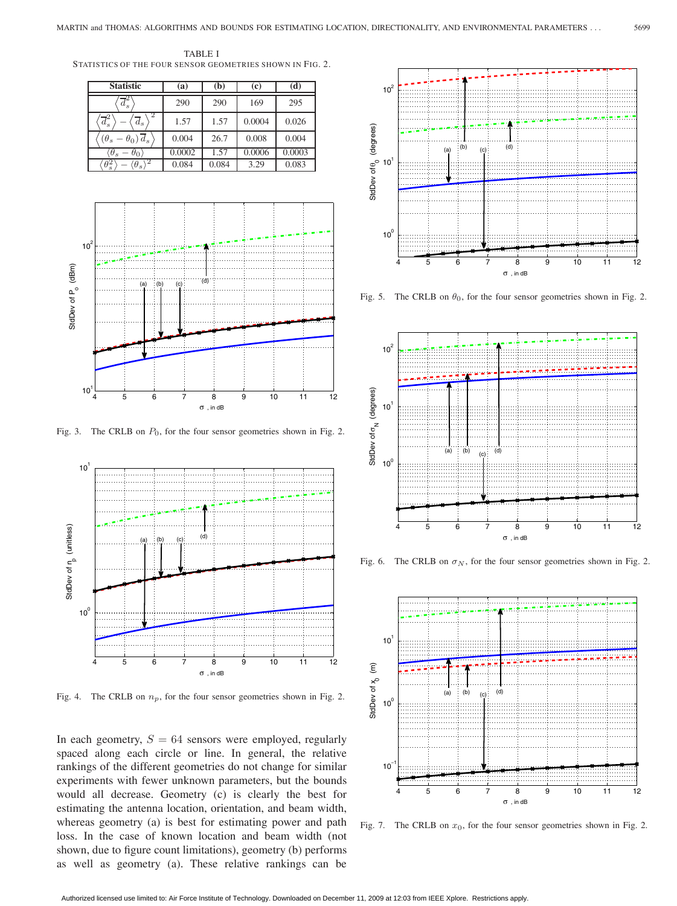| <b>Statistic</b>              | (a)   | (b)  | (C)    | (a)   |
|-------------------------------|-------|------|--------|-------|
| $a_s$                         | 290   | 290  | 169    | 295   |
| $d_s$<br>$d_{s}$              | 1.57  | 1.57 | 0.0004 | 0.026 |
| $\theta_0$ ) $\overline{d}_s$ | 0.004 | 26.7 | 0.008  | 0.004 |

 $\langle \theta_s - \theta_0 \rangle$  0.0002 1.57 0.0006 0.0003

<sup>2</sup> 0.084 0.084 3.29 0.083

 $\langle \theta_s^2$ 〉  $\langle \theta \rangle$ 

TABLE I STATISTICS OF THE FOUR SENSOR GEOMETRIES SHOWN IN FIG. 2.



Fig. 3. The CRLB on  $P_0$ , for the four sensor geometries shown in Fig. 2.



Fig. 4. The CRLB on  $n_p$ , for the four sensor geometries shown in Fig. 2.

In each geometry,  $S = 64$  sensors were employed, regularly spaced along each circle or line. In general, the relative rankings of the different geometries do not change for similar experiments with fewer unknown parameters, but the bounds would all decrease. Geometry (c) is clearly the best for estimating the antenna location, orientation, and beam width, whereas geometry (a) is best for estimating power and path loss. In the case of known location and beam width (not shown, due to figure count limitations), geometry (b) performs as well as geometry (a). These relative rankings can be



Fig. 5. The CRLB on  $\theta_0$ , for the four sensor geometries shown in Fig. 2.



Fig. 6. The CRLB on  $\sigma_N$ , for the four sensor geometries shown in Fig. 2.



Fig. 7. The CRLB on  $x_0$ , for the four sensor geometries shown in Fig. 2.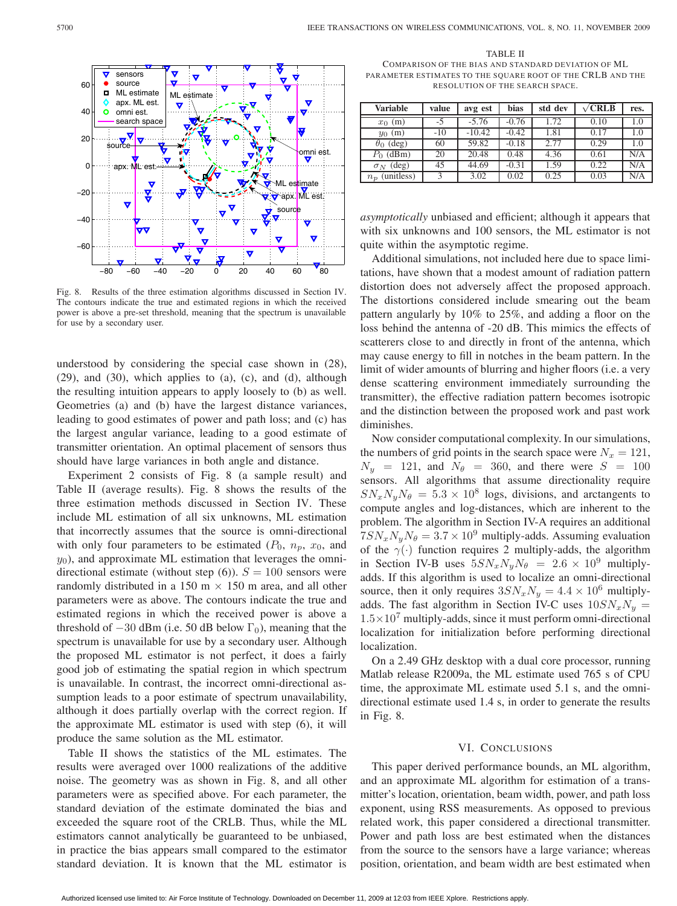

Fig. 8. Results of the three estimation algorithms discussed in Section IV. The contours indicate the true and estimated regions in which the received power is above a pre-set threshold, meaning that the spectrum is unavailable for use by a secondary user.

understood by considering the special case shown in (28),  $(29)$ , and  $(30)$ , which applies to  $(a)$ ,  $(c)$ , and  $(d)$ , although the resulting intuition appears to apply loosely to (b) as well. Geometries (a) and (b) have the largest distance variances, leading to good estimates of power and path loss; and (c) has the largest angular variance, leading to a good estimate of transmitter orientation. An optimal placement of sensors thus should have large variances in both angle and distance.

Experiment 2 consists of Fig. 8 (a sample result) and Table II (average results). Fig. 8 shows the results of the three estimation methods discussed in Section IV. These include ML estimation of all six unknowns, ML estimation that incorrectly assumes that the source is omni-directional with only four parameters to be estimated  $(P_0, n_p, x_0, \text{ and})$  $y_0$ ), and approximate ML estimation that leverages the omnidirectional estimate (without step (6)).  $S = 100$  sensors were randomly distributed in a 150 m  $\times$  150 m area, and all other parameters were as above. The contours indicate the true and estimated regions in which the received power is above a threshold of  $-30$  dBm (i.e. 50 dB below  $\Gamma_0$ ), meaning that the spectrum is unavailable for use by a secondary user. Although the proposed ML estimator is not perfect, it does a fairly good job of estimating the spatial region in which spectrum is unavailable. In contrast, the incorrect omni-directional assumption leads to a poor estimate of spectrum unavailability, although it does partially overlap with the correct region. If the approximate ML estimator is used with step (6), it will produce the same solution as the ML estimator.

Table II shows the statistics of the ML estimates. The results were averaged over 1000 realizations of the additive noise. The geometry was as shown in Fig. 8, and all other parameters were as specified above. For each parameter, the standard deviation of the estimate dominated the bias and exceeded the square root of the CRLB. Thus, while the ML estimators cannot analytically be guaranteed to be unbiased, in practice the bias appears small compared to the estimator standard deviation. It is known that the ML estimator is

TABLE II COMPARISON OF THE BIAS AND STANDARD DEVIATION OF ML PARAMETER ESTIMATES TO THE SQUARE ROOT OF THE CRLB AND THE RESOLUTION OF THE SEARCH SPACE.

| <b>Variable</b>              | value | avg est  | bias    | std dev | $\sqrt{\rm CRLB}$ | res. |
|------------------------------|-------|----------|---------|---------|-------------------|------|
| $x_0$ (m)                    | -5    | $-5.76$  | $-0.76$ | 1.72    | 0.10              | 1.0  |
| (m)<br>$y_0$                 | $-10$ | $-10.42$ | $-0.42$ | 1.81    | 0.17              | 1.0  |
| $(\text{deg})$<br>$\theta_0$ | 60    | 59.82    | $-0.18$ | 2.77    | 0.29              | 1.0  |
| (dBm)                        | 20    | 20.48    | 0.48    | 4.36    | 0.61              | N/A  |
| $(\text{deg})$<br>$\sigma_N$ |       | 44.69    | $-0.31$ | 1.59    | 0.22              | N/A  |
| (unitless)<br>$n_{p}$        |       | 3.02     | 0.02    | 0.25    | 0.03              | N/A  |

*asymptotically* unbiased and efficient; although it appears that with six unknowns and 100 sensors, the ML estimator is not quite within the asymptotic regime.

Additional simulations, not included here due to space limitations, have shown that a modest amount of radiation pattern distortion does not adversely affect the proposed approach. The distortions considered include smearing out the beam pattern angularly by 10% to 25%, and adding a floor on the loss behind the antenna of -20 dB. This mimics the effects of scatterers close to and directly in front of the antenna, which may cause energy to fill in notches in the beam pattern. In the limit of wider amounts of blurring and higher floors (i.e. a very dense scattering environment immediately surrounding the transmitter), the effective radiation pattern becomes isotropic and the distinction between the proposed work and past work diminishes.

Now consider computational complexity. In our simulations, the numbers of grid points in the search space were  $N_x = 121$ ,  $N_u$  = 121, and  $N_\theta$  = 360, and there were  $S = 100$ sensors. All algorithms that assume directionality require  $SN_xN_yN_\theta = 5.3 \times 10^8$  logs, divisions, and arctangents to compute angles and log-distances, which are inherent to the problem. The algorithm in Section IV-A requires an additional  $7SN_xN_yN_\theta = 3.7 \times 10^9$  multiply-adds. Assuming evaluation of the  $\gamma(\cdot)$  function requires 2 multiply-adds, the algorithm in Section IV-B uses  $5SN_xN_yN_\theta = 2.6 \times 10^9$  multiplyadds. If this algorithm is used to localize an omni-directional source, then it only requires  $3SN_xN_y = 4.4 \times 10^6$  multiplyadds. The fast algorithm in Section IV-C uses  $10 SN_x N_y =$  $1.5\times10^{7}$  multiply-adds, since it must perform omni-directional localization for initialization before performing directional localization.

On a 2.49 GHz desktop with a dual core processor, running Matlab release R2009a, the ML estimate used 765 s of CPU time, the approximate ML estimate used 5.1 s, and the omnidirectional estimate used 1.4 s, in order to generate the results in Fig. 8.

#### VI. CONCLUSIONS

This paper derived performance bounds, an ML algorithm, and an approximate ML algorithm for estimation of a transmitter's location, orientation, beam width, power, and path loss exponent, using RSS measurements. As opposed to previous related work, this paper considered a directional transmitter. Power and path loss are best estimated when the distances from the source to the sensors have a large variance; whereas position, orientation, and beam width are best estimated when